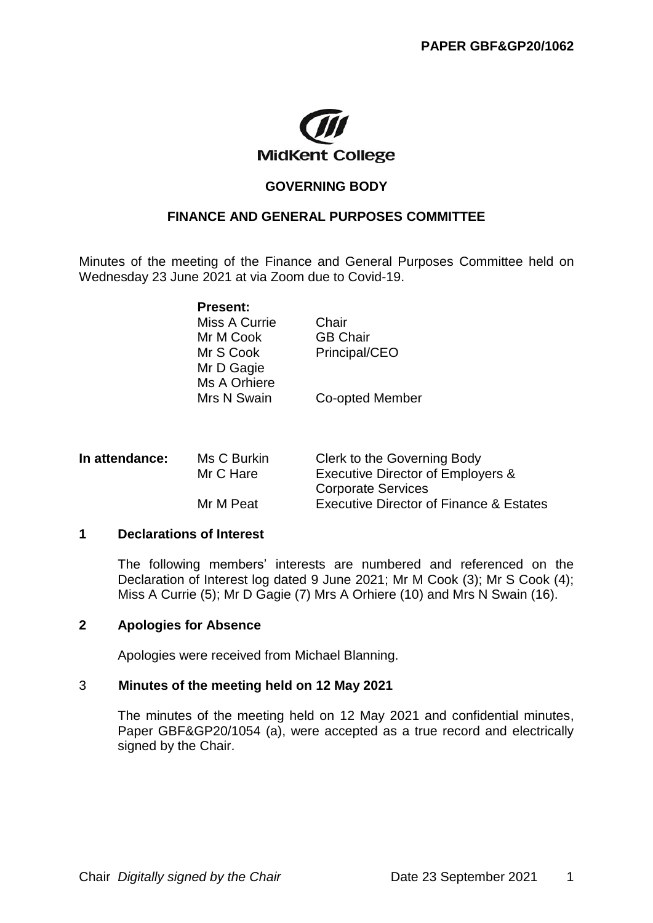

### **GOVERNING BODY**

### **FINANCE AND GENERAL PURPOSES COMMITTEE**

Minutes of the meeting of the Finance and General Purposes Committee held on Wednesday 23 June 2021 at via Zoom due to Covid-19.

| <b>Present:</b> |                 |
|-----------------|-----------------|
| Miss A Currie   | Chair           |
| Mr M Cook       | <b>GB Chair</b> |
| Mr S Cook       | Principal/CEO   |
| Mr D Gagie      |                 |
| Ms A Orhiere    |                 |
| Mrs N Swain     | Co-opted Member |

| Ms C Burkin<br>In attendance:<br>Mr C Hare<br>Mr M Peat |                           | Clerk to the Governing Body                        |
|---------------------------------------------------------|---------------------------|----------------------------------------------------|
|                                                         |                           | <b>Executive Director of Employers &amp;</b>       |
|                                                         | <b>Corporate Services</b> |                                                    |
|                                                         |                           | <b>Executive Director of Finance &amp; Estates</b> |

#### **1 Declarations of Interest**

The following members' interests are numbered and referenced on the Declaration of Interest log dated 9 June 2021; Mr M Cook (3); Mr S Cook (4); Miss A Currie (5); Mr D Gagie (7) Mrs A Orhiere (10) and Mrs N Swain (16).

#### **2 Apologies for Absence**

Apologies were received from Michael Blanning.

#### 3 **Minutes of the meeting held on 12 May 2021**

The minutes of the meeting held on 12 May 2021 and confidential minutes, Paper GBF&GP20/1054 (a), were accepted as a true record and electrically signed by the Chair.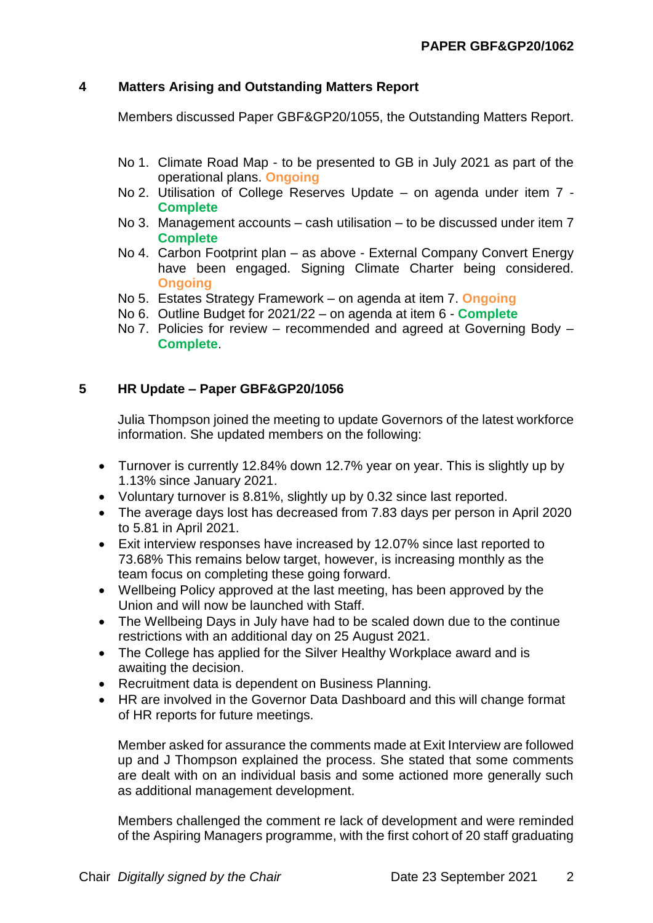## **4 Matters Arising and Outstanding Matters Report**

Members discussed Paper GBF&GP20/1055, the Outstanding Matters Report.

- No 1. Climate Road Map to be presented to GB in July 2021 as part of the operational plans. **Ongoing**
- No 2. Utilisation of College Reserves Update on agenda under item 7 **Complete**
- No 3. Management accounts cash utilisation to be discussed under item 7 **Complete**
- No 4. Carbon Footprint plan as above External Company Convert Energy have been engaged. Signing Climate Charter being considered. **Ongoing**
- No 5. Estates Strategy Framework on agenda at item 7. **Ongoing**
- No 6. Outline Budget for 2021/22 on agenda at item 6 **Complete**
- No 7. Policies for review recommended and agreed at Governing Body **Complete**.

## **5 HR Update – Paper GBF&GP20/1056**

Julia Thompson joined the meeting to update Governors of the latest workforce information. She updated members on the following:

- Turnover is currently 12.84% down 12.7% year on year. This is slightly up by 1.13% since January 2021.
- Voluntary turnover is 8.81%, slightly up by 0.32 since last reported.
- The average days lost has decreased from 7.83 days per person in April 2020 to 5.81 in April 2021.
- Exit interview responses have increased by 12.07% since last reported to 73.68% This remains below target, however, is increasing monthly as the team focus on completing these going forward.
- Wellbeing Policy approved at the last meeting, has been approved by the Union and will now be launched with Staff.
- The Wellbeing Days in July have had to be scaled down due to the continue restrictions with an additional day on 25 August 2021.
- The College has applied for the Silver Healthy Workplace award and is awaiting the decision.
- Recruitment data is dependent on Business Planning.
- HR are involved in the Governor Data Dashboard and this will change format of HR reports for future meetings.

Member asked for assurance the comments made at Exit Interview are followed up and J Thompson explained the process. She stated that some comments are dealt with on an individual basis and some actioned more generally such as additional management development.

Members challenged the comment re lack of development and were reminded of the Aspiring Managers programme, with the first cohort of 20 staff graduating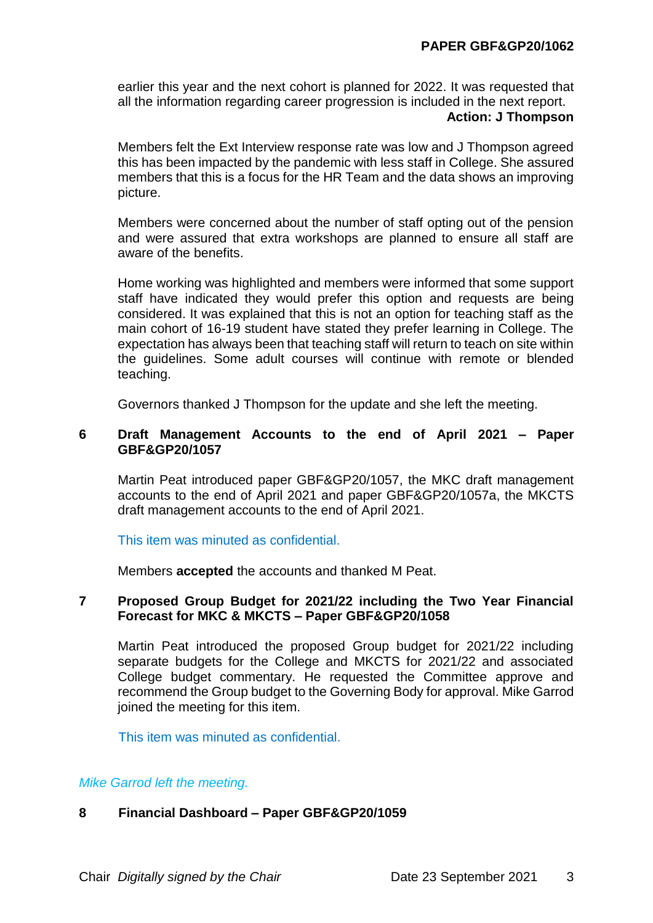earlier this year and the next cohort is planned for 2022. It was requested that all the information regarding career progression is included in the next report.

### **Action: J Thompson**

Members felt the Ext Interview response rate was low and J Thompson agreed this has been impacted by the pandemic with less staff in College. She assured members that this is a focus for the HR Team and the data shows an improving picture.

Members were concerned about the number of staff opting out of the pension and were assured that extra workshops are planned to ensure all staff are aware of the benefits.

Home working was highlighted and members were informed that some support staff have indicated they would prefer this option and requests are being considered. It was explained that this is not an option for teaching staff as the main cohort of 16-19 student have stated they prefer learning in College. The expectation has always been that teaching staff will return to teach on site within the guidelines. Some adult courses will continue with remote or blended teaching.

Governors thanked J Thompson for the update and she left the meeting.

### **6 Draft Management Accounts to the end of April 2021 – Paper GBF&GP20/1057**

Martin Peat introduced paper GBF&GP20/1057, the MKC draft management accounts to the end of April 2021 and paper GBF&GP20/1057a, the MKCTS draft management accounts to the end of April 2021.

This item was minuted as confidential.

Members **accepted** the accounts and thanked M Peat.

### **7 Proposed Group Budget for 2021/22 including the Two Year Financial Forecast for MKC & MKCTS – Paper GBF&GP20/1058**

Martin Peat introduced the proposed Group budget for 2021/22 including separate budgets for the College and MKCTS for 2021/22 and associated College budget commentary. He requested the Committee approve and recommend the Group budget to the Governing Body for approval. Mike Garrod joined the meeting for this item.

This item was minuted as confidential.

### *Mike Garrod left the meeting.*

### **8 Financial Dashboard – Paper GBF&GP20/1059**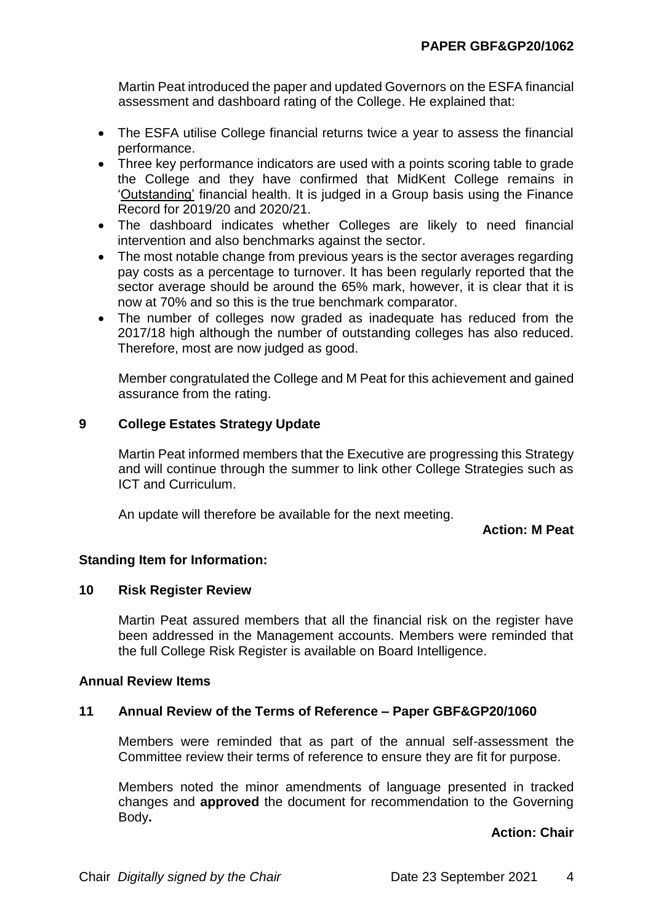Martin Peat introduced the paper and updated Governors on the ESFA financial assessment and dashboard rating of the College. He explained that:

- The ESFA utilise College financial returns twice a year to assess the financial performance.
- Three key performance indicators are used with a points scoring table to grade the College and they have confirmed that MidKent College remains in 'Outstanding' financial health. It is judged in a Group basis using the Finance Record for 2019/20 and 2020/21.
- The dashboard indicates whether Colleges are likely to need financial intervention and also benchmarks against the sector.
- The most notable change from previous years is the sector averages regarding pay costs as a percentage to turnover. It has been regularly reported that the sector average should be around the 65% mark, however, it is clear that it is now at 70% and so this is the true benchmark comparator.
- The number of colleges now graded as inadequate has reduced from the 2017/18 high although the number of outstanding colleges has also reduced. Therefore, most are now judged as good.

Member congratulated the College and M Peat for this achievement and gained assurance from the rating.

## **9 College Estates Strategy Update**

Martin Peat informed members that the Executive are progressing this Strategy and will continue through the summer to link other College Strategies such as ICT and Curriculum.

An update will therefore be available for the next meeting.

**Action: M Peat**

### **Standing Item for Information:**

### **10 Risk Register Review**

Martin Peat assured members that all the financial risk on the register have been addressed in the Management accounts. Members were reminded that the full College Risk Register is available on Board Intelligence.

### **Annual Review Items**

### **11 Annual Review of the Terms of Reference – Paper GBF&GP20/1060**

Members were reminded that as part of the annual self-assessment the Committee review their terms of reference to ensure they are fit for purpose.

Members noted the minor amendments of language presented in tracked changes and **approved** the document for recommendation to the Governing Body**.**

**Action: Chair**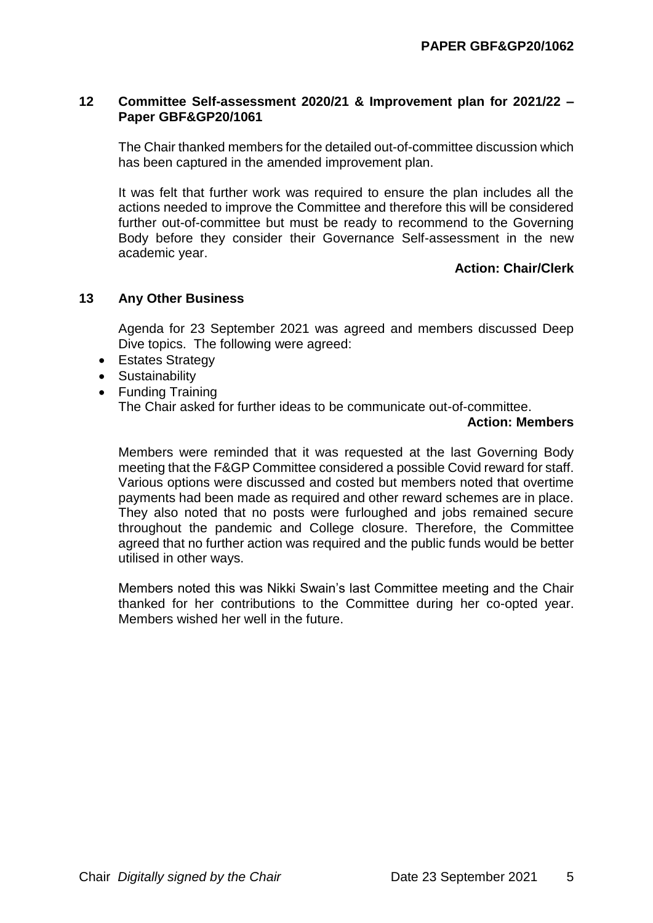### **12 Committee Self-assessment 2020/21 & Improvement plan for 2021/22 – Paper GBF&GP20/1061**

The Chair thanked members for the detailed out-of-committee discussion which has been captured in the amended improvement plan.

It was felt that further work was required to ensure the plan includes all the actions needed to improve the Committee and therefore this will be considered further out-of-committee but must be ready to recommend to the Governing Body before they consider their Governance Self-assessment in the new academic year.

### **Action: Chair/Clerk**

### **13 Any Other Business**

Agenda for 23 September 2021 was agreed and members discussed Deep Dive topics. The following were agreed:

- Estates Strategy
- Sustainability
- Funding Training The Chair asked for further ideas to be communicate out-of-committee.

### **Action: Members**

Members were reminded that it was requested at the last Governing Body meeting that the F&GP Committee considered a possible Covid reward for staff. Various options were discussed and costed but members noted that overtime payments had been made as required and other reward schemes are in place. They also noted that no posts were furloughed and jobs remained secure throughout the pandemic and College closure. Therefore, the Committee agreed that no further action was required and the public funds would be better utilised in other ways.

Members noted this was Nikki Swain's last Committee meeting and the Chair thanked for her contributions to the Committee during her co-opted year. Members wished her well in the future.